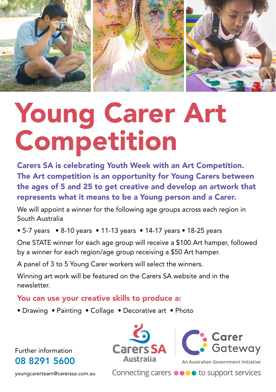

# Young Carer Art Competition

end ages of 5 and 25 to get electric and acverage an artwork Carers SA is celebrating Youth Week with an Art Competition. The Art competition is an opportunity for Young Carers between the ages of 5 and 25 to get creative and develop an artwork that

We will appoint a winner for the following age groups across each region in South Australia

• 5-7 years • 8-10 years • 11-13 years • 14-17 years • 18-25 years

One STATE winner for each age group will receive a \$100 Art hamper, followed by a winner for each region/age group receiving a \$50 Art hamper.

A panel of 3 to 5 Young Carer workers will select the winners.

Winning art work will be featured on the Carers SA website and in the newsletter

#### You can use your creative skills to produce a:

• Drawing • Painting • Collage • Decorative art • Photo

Further information 08 8291 5600







**An Australian Government Initiative**

Connecting carers ●●●● to support services